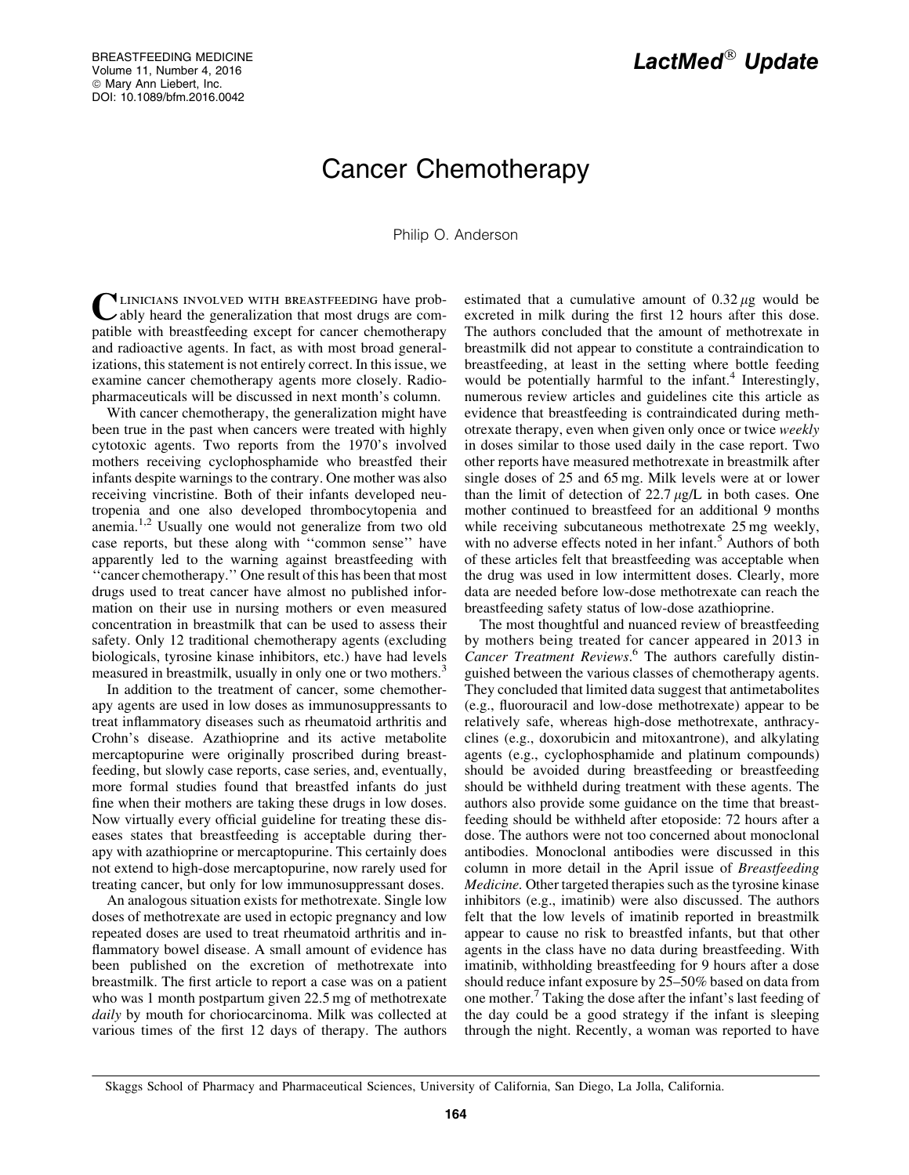## Cancer Chemotherapy

Philip O. Anderson

CLINICIANS INVOLVED WITH BREASTFEEDING have prob-<br>ably heard the generalization that most drugs are compatible with breastfeeding except for cancer chemotherapy and radioactive agents. In fact, as with most broad generalizations, this statement is not entirely correct. In this issue, we examine cancer chemotherapy agents more closely. Radiopharmaceuticals will be discussed in next month's column.

With cancer chemotherapy, the generalization might have been true in the past when cancers were treated with highly cytotoxic agents. Two reports from the 1970's involved mothers receiving cyclophosphamide who breastfed their infants despite warnings to the contrary. One mother was also receiving vincristine. Both of their infants developed neutropenia and one also developed thrombocytopenia and anemia.1,2 Usually one would not generalize from two old case reports, but these along with ''common sense'' have apparently led to the warning against breastfeeding with ''cancer chemotherapy.'' One result of this has been that most drugs used to treat cancer have almost no published information on their use in nursing mothers or even measured concentration in breastmilk that can be used to assess their safety. Only 12 traditional chemotherapy agents (excluding biologicals, tyrosine kinase inhibitors, etc.) have had levels measured in breastmilk, usually in only one or two mothers.

In addition to the treatment of cancer, some chemotherapy agents are used in low doses as immunosuppressants to treat inflammatory diseases such as rheumatoid arthritis and Crohn's disease. Azathioprine and its active metabolite mercaptopurine were originally proscribed during breastfeeding, but slowly case reports, case series, and, eventually, more formal studies found that breastfed infants do just fine when their mothers are taking these drugs in low doses. Now virtually every official guideline for treating these diseases states that breastfeeding is acceptable during therapy with azathioprine or mercaptopurine. This certainly does not extend to high-dose mercaptopurine, now rarely used for treating cancer, but only for low immunosuppressant doses.

An analogous situation exists for methotrexate. Single low doses of methotrexate are used in ectopic pregnancy and low repeated doses are used to treat rheumatoid arthritis and inflammatory bowel disease. A small amount of evidence has been published on the excretion of methotrexate into breastmilk. The first article to report a case was on a patient who was 1 month postpartum given 22.5 mg of methotrexate *daily* by mouth for choriocarcinoma. Milk was collected at various times of the first 12 days of therapy. The authors estimated that a cumulative amount of  $0.32 \mu$ g would be excreted in milk during the first 12 hours after this dose. The authors concluded that the amount of methotrexate in breastmilk did not appear to constitute a contraindication to breastfeeding, at least in the setting where bottle feeding would be potentially harmful to the infant.<sup>4</sup> Interestingly, numerous review articles and guidelines cite this article as evidence that breastfeeding is contraindicated during methotrexate therapy, even when given only once or twice *weekly* in doses similar to those used daily in the case report. Two other reports have measured methotrexate in breastmilk after single doses of 25 and 65 mg. Milk levels were at or lower than the limit of detection of  $22.7 \mu g/L$  in both cases. One mother continued to breastfeed for an additional 9 months while receiving subcutaneous methotrexate 25 mg weekly, with no adverse effects noted in her infant.<sup>5</sup> Authors of both of these articles felt that breastfeeding was acceptable when the drug was used in low intermittent doses. Clearly, more data are needed before low-dose methotrexate can reach the breastfeeding safety status of low-dose azathioprine.

The most thoughtful and nuanced review of breastfeeding by mothers being treated for cancer appeared in 2013 in *Cancer Treatment Reviews*. <sup>6</sup> The authors carefully distinguished between the various classes of chemotherapy agents. They concluded that limited data suggest that antimetabolites (e.g., fluorouracil and low-dose methotrexate) appear to be relatively safe, whereas high-dose methotrexate, anthracyclines (e.g., doxorubicin and mitoxantrone), and alkylating agents (e.g., cyclophosphamide and platinum compounds) should be avoided during breastfeeding or breastfeeding should be withheld during treatment with these agents. The authors also provide some guidance on the time that breastfeeding should be withheld after etoposide: 72 hours after a dose. The authors were not too concerned about monoclonal antibodies. Monoclonal antibodies were discussed in this column in more detail in the April issue of *Breastfeeding Medicine.* Other targeted therapies such as the tyrosine kinase inhibitors (e.g., imatinib) were also discussed. The authors felt that the low levels of imatinib reported in breastmilk appear to cause no risk to breastfed infants, but that other agents in the class have no data during breastfeeding. With imatinib, withholding breastfeeding for 9 hours after a dose should reduce infant exposure by 25–50% based on data from one mother. Taking the dose after the infant's last feeding of the day could be a good strategy if the infant is sleeping through the night. Recently, a woman was reported to have

Skaggs School of Pharmacy and Pharmaceutical Sciences, University of California, San Diego, La Jolla, California.